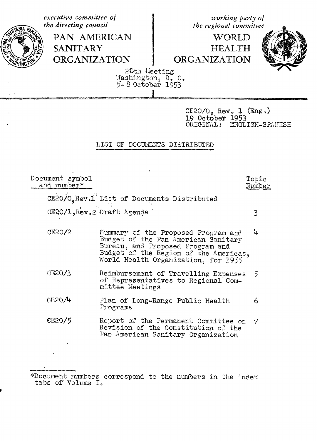executive committee of working party of the directing council the regional committee PAN AMERICAN WORLD **SANITARY HEALTH ORGANIZATION** ORGANIZATION 20th Heeting Washington, D. C.<br>5-8 October 1953 CE20/0, Rev. 1 (Eng.)<br>19 October 1953 ORIGINAL: ENGLISH-SPANISH LIST OF DOCUMENTS DISTRIBUTED Document symbol Topic and number\* Number CE20/O.Rev.1 List of Documents Distributed CE20/1, Rev.2 Draft Agenda 3 CE20/2 μ. Summary of the Proposed Program and Budget of the Pan American Sanitary Bureau, and Proposed Program and<br>Budget of the Region of the Americas, World Health Organization, for 1955 Reimbursement of Travelling Expenses  $CE20/3$ 5 of Representatives to Regional Committee Meetings CE20/4 Plan of Long-Range Public Health 6 Programs CE20/5 Report of the Permanent Committee on 7 Revision of the Constitution of the Pan American Sanitary Organization

<sup>\*</sup>Document numbers correspond to the numbers in the index tabs of Volume I.